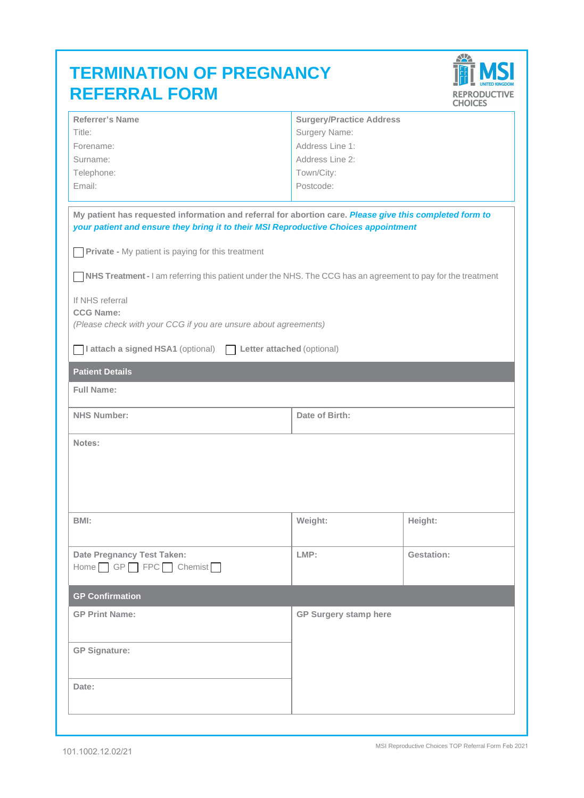| <b>TERMINATION OF PREGNANCY</b> |
|---------------------------------|
| <b>REFERRAL FORM</b>            |



| Referrer's Name                                                                                                                                                                                | <b>Surgery/Practice Address</b>  |            |  |  |
|------------------------------------------------------------------------------------------------------------------------------------------------------------------------------------------------|----------------------------------|------------|--|--|
| Title:                                                                                                                                                                                         |                                  |            |  |  |
| Forename:                                                                                                                                                                                      | Surgery Name:<br>Address Line 1: |            |  |  |
| Surname:                                                                                                                                                                                       | Address Line 2:                  |            |  |  |
|                                                                                                                                                                                                |                                  |            |  |  |
| Telephone:                                                                                                                                                                                     | Town/City:                       |            |  |  |
| Email:                                                                                                                                                                                         | Postcode:                        |            |  |  |
|                                                                                                                                                                                                |                                  |            |  |  |
| My patient has requested information and referral for abortion care. Please give this completed form to<br>your patient and ensure they bring it to their MSI Reproductive Choices appointment |                                  |            |  |  |
| <b>Private -</b> My patient is paying for this treatment                                                                                                                                       |                                  |            |  |  |
| NHS Treatment - I am referring this patient under the NHS. The CCG has an agreement to pay for the treatment                                                                                   |                                  |            |  |  |
| If NHS referral                                                                                                                                                                                |                                  |            |  |  |
| <b>CCG Name:</b>                                                                                                                                                                               |                                  |            |  |  |
| (Please check with your CCG if you are unsure about agreements)                                                                                                                                |                                  |            |  |  |
| I attach a signed HSA1 (optional) Letter attached (optional)                                                                                                                                   |                                  |            |  |  |
| <b>Patient Details</b>                                                                                                                                                                         |                                  |            |  |  |
| <b>Full Name:</b>                                                                                                                                                                              |                                  |            |  |  |
| <b>NHS Number:</b>                                                                                                                                                                             | Date of Birth:                   |            |  |  |
| Notes:                                                                                                                                                                                         |                                  |            |  |  |
|                                                                                                                                                                                                |                                  |            |  |  |
|                                                                                                                                                                                                |                                  |            |  |  |
|                                                                                                                                                                                                |                                  |            |  |  |
|                                                                                                                                                                                                |                                  |            |  |  |
|                                                                                                                                                                                                |                                  |            |  |  |
| BMI:                                                                                                                                                                                           | Weight:                          | Height:    |  |  |
|                                                                                                                                                                                                |                                  |            |  |  |
| Date Pregnancy Test Taken:                                                                                                                                                                     | LMP:                             | Gestation: |  |  |
| Home   GP   FPC   Chemist                                                                                                                                                                      |                                  |            |  |  |
|                                                                                                                                                                                                |                                  |            |  |  |
| <b>GP Confirmation</b>                                                                                                                                                                         |                                  |            |  |  |
| <b>GP Print Name:</b>                                                                                                                                                                          | GP Surgery stamp here            |            |  |  |
|                                                                                                                                                                                                |                                  |            |  |  |
|                                                                                                                                                                                                |                                  |            |  |  |
| <b>GP Signature:</b>                                                                                                                                                                           |                                  |            |  |  |
|                                                                                                                                                                                                |                                  |            |  |  |
|                                                                                                                                                                                                |                                  |            |  |  |
| Date:                                                                                                                                                                                          |                                  |            |  |  |
|                                                                                                                                                                                                |                                  |            |  |  |
|                                                                                                                                                                                                |                                  |            |  |  |